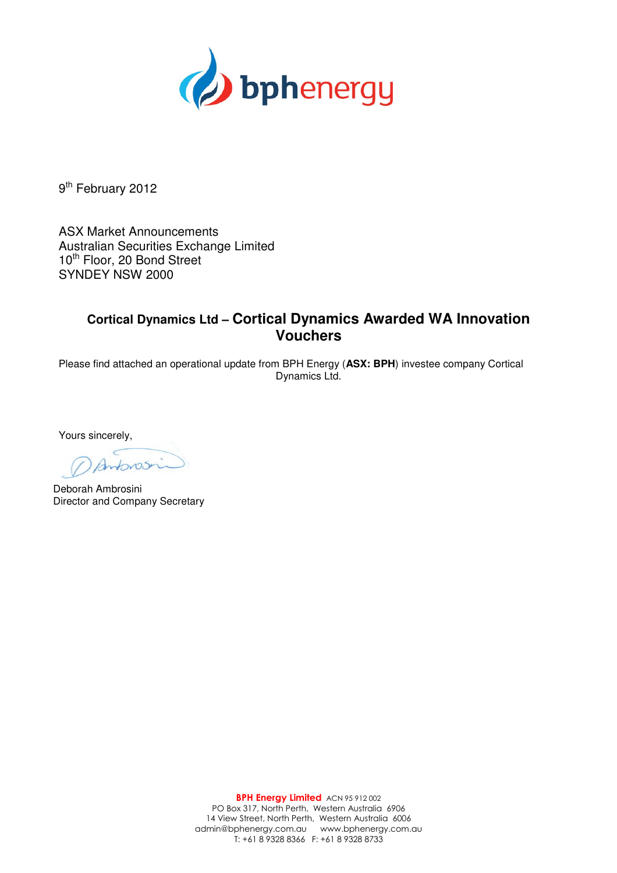

9<sup>th</sup> February 2012

ASX Market Announcements Australian Securities Exchange Limited 10<sup>th</sup> Floor, 20 Bond Street SYNDEY NSW 2000

## **Cortical Dynamics Ltd – Cortical Dynamics Awarded WA Innovation Vouchers**

Please find attached an operational update from BPH Energy (**ASX: BPH**) investee company Cortical Dynamics Ltd.

Yours sincerely,

Deborah Ambrosini Director and Company Secretary

BPH Energy Limited ACN 95 912 002 PO Box 317, North Perth, Western Australia 6906 14 View Street, North Perth, Western Australia 6006 admin@bphenergy.com.au www.bphenergy.com.au T: +61 8 9328 8366 F: +61 8 9328 8733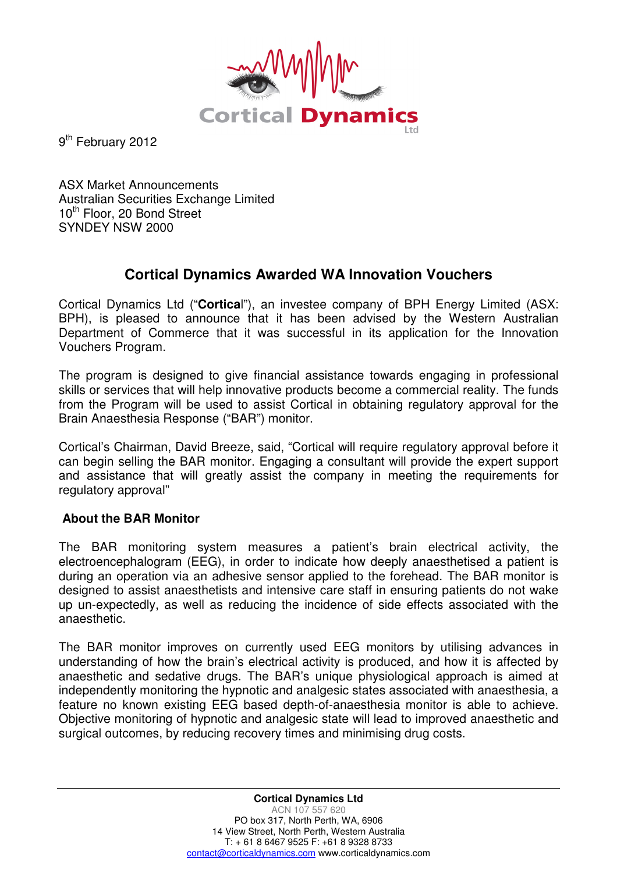

9<sup>th</sup> February 2012

ASX Market Announcements Australian Securities Exchange Limited 10<sup>th</sup> Floor, 20 Bond Street SYNDEY NSW 2000

## **Cortical Dynamics Awarded WA Innovation Vouchers**

Cortical Dynamics Ltd ("**Cortica**l"), an investee company of BPH Energy Limited (ASX: BPH), is pleased to announce that it has been advised by the Western Australian Department of Commerce that it was successful in its application for the Innovation Vouchers Program.

The program is designed to give financial assistance towards engaging in professional skills or services that will help innovative products become a commercial reality. The funds from the Program will be used to assist Cortical in obtaining regulatory approval for the Brain Anaesthesia Response ("BAR") monitor.

Cortical's Chairman, David Breeze, said, "Cortical will require regulatory approval before it can begin selling the BAR monitor. Engaging a consultant will provide the expert support and assistance that will greatly assist the company in meeting the requirements for regulatory approval"

## **About the BAR Monitor**

The BAR monitoring system measures a patient's brain electrical activity, the electroencephalogram (EEG), in order to indicate how deeply anaesthetised a patient is during an operation via an adhesive sensor applied to the forehead. The BAR monitor is designed to assist anaesthetists and intensive care staff in ensuring patients do not wake up un-expectedly, as well as reducing the incidence of side effects associated with the anaesthetic.

The BAR monitor improves on currently used EEG monitors by utilising advances in understanding of how the brain's electrical activity is produced, and how it is affected by anaesthetic and sedative drugs. The BAR's unique physiological approach is aimed at independently monitoring the hypnotic and analgesic states associated with anaesthesia, a feature no known existing EEG based depth-of-anaesthesia monitor is able to achieve. Objective monitoring of hypnotic and analgesic state will lead to improved anaesthetic and surgical outcomes, by reducing recovery times and minimising drug costs.